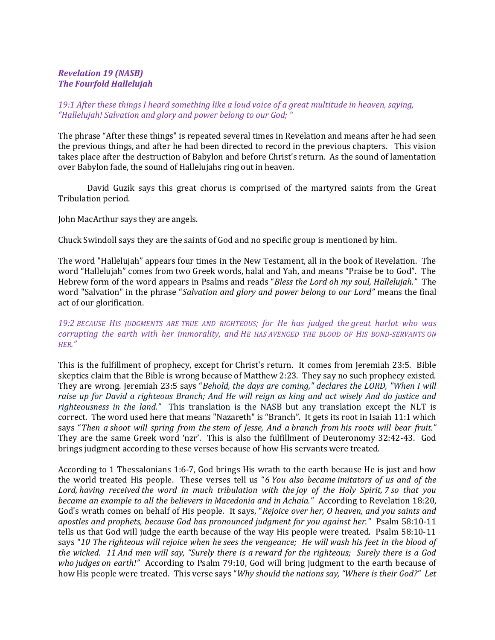# Revelation 19 (NASB) The Fourfold Hallelujah

# 19:1 After these things I heard something like a loud voice of a great multitude in heaven, saying, "Hallelujah! Salvation and glory and power belong to our God; "

The phrase "After these things" is repeated several times in Revelation and means after he had seen the previous things, and after he had been directed to record in the previous chapters. This vision takes place after the destruction of Babylon and before Christ's return. As the sound of lamentation over Babylon fade, the sound of Hallelujahs ring out in heaven.

David Guzik says this great chorus is comprised of the martyred saints from the Great Tribulation period.

John MacArthur says they are angels.

Chuck Swindoll says they are the saints of God and no specific group is mentioned by him.

The word "Hallelujah" appears four times in the New Testament, all in the book of Revelation. The word "Hallelujah" comes from two Greek words, halal and Yah, and means "Praise be to God". The Hebrew form of the word appears in Psalms and reads "Bless the Lord oh my soul, Hallelujah." The word "Salvation" in the phrase "Salvation and glory and power belong to our Lord" means the final act of our glorification.

## 19:2 BECAUSE HIS JUDGMENTS ARE TRUE AND RIGHTEOUS; for He has judged the great harlot who was corrupting the earth with her immorality, and HE HAS AVENGED THE BLOOD OF HIS BOND-SERVANTS ON HER."

This is the fulfillment of prophecy, except for Christ's return. It comes from Jeremiah 23:5. Bible skeptics claim that the Bible is wrong because of Matthew 2:23. They say no such prophecy existed. They are wrong. Jeremiah 23:5 says "Behold, the days are coming," declares the LORD, "When I will raise up for David a righteous Branch; And He will reign as king and act wisely And do justice and righteousness in the land." This translation is the NASB but any translation except the NLT is correct. The word used here that means "Nazareth" is "Branch". It gets its root in Isaiah 11:1 which says "Then a shoot will spring from the stem of Jesse, And a branch from his roots will bear fruit." They are the same Greek word 'nzr'. This is also the fulfillment of Deuteronomy 32:42-43. God brings judgment according to these verses because of how His servants were treated.

According to 1 Thessalonians 1:6-7, God brings His wrath to the earth because He is just and how the world treated His people. These verses tell us "6 You also became imitators of us and of the Lord, having received the word in much tribulation with the joy of the Holy Spirit, 7 so that you became an example to all the believers in Macedonia and in Achaia." According to Revelation 18:20, God's wrath comes on behalf of His people. It says, "Rejoice over her, O heaven, and you saints and apostles and prophets, because God has pronounced judgment for you against her." Psalm 58:10-11 tells us that God will judge the earth because of the way His people were treated. Psalm 58:10-11 says "10 The righteous will rejoice when he sees the vengeance; He will wash his feet in the blood of the wicked. 11 And men will say, "Surely there is a reward for the righteous; Surely there is a God who judges on earth!" According to Psalm 79:10, God will bring judgment to the earth because of how His people were treated. This verse says "Why should the nations say, "Where is their God?" Let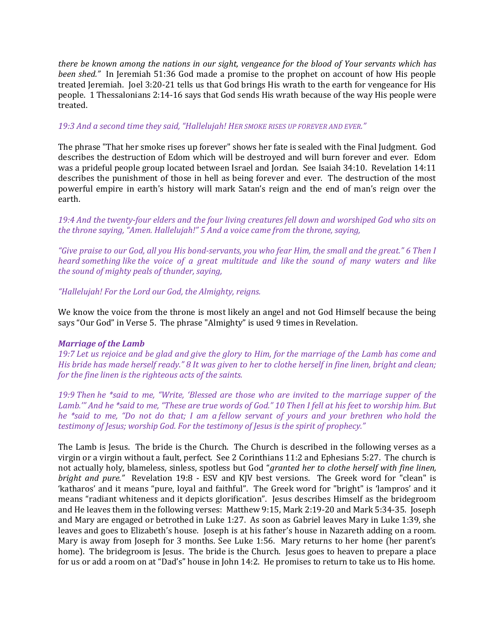there be known among the nations in our sight, vengeance for the blood of Your servants which has been shed." In Jeremiah 51:36 God made a promise to the prophet on account of how His people treated Jeremiah. Joel 3:20-21 tells us that God brings His wrath to the earth for vengeance for His people. 1 Thessalonians 2:14-16 says that God sends His wrath because of the way His people were treated.

#### 19:3 And a second time they said, "Hallelujah! HER SMOKE RISES UP FOREVER AND EVER."

The phrase "That her smoke rises up forever" shows her fate is sealed with the Final Judgment. God describes the destruction of Edom which will be destroyed and will burn forever and ever. Edom was a prideful people group located between Israel and Jordan. See Isaiah 34:10. Revelation 14:11 describes the punishment of those in hell as being forever and ever. The destruction of the most powerful empire in earth's history will mark Satan's reign and the end of man's reign over the earth.

19:4 And the twenty-four elders and the four living creatures fell down and worshiped God who sits on the throne saying, "Amen. Hallelujah!" 5 And a voice came from the throne, saying,

"Give praise to our God, all you His bond-servants, you who fear Him, the small and the great." 6 Then I heard something like the voice of a great multitude and like the sound of many waters and like the sound of mighty peals of thunder, saying,

"Hallelujah! For the Lord our God, the Almighty, reigns.

We know the voice from the throne is most likely an angel and not God Himself because the being says "Our God" in Verse 5. The phrase "Almighty" is used 9 times in Revelation.

## Marriage of the Lamb

19:7 Let us rejoice and be glad and give the glory to Him, for the marriage of the Lamb has come and His bride has made herself ready." 8 It was given to her to clothe herself in fine linen, bright and clean; for the fine linen is the righteous acts of the saints.

19:9 Then he \*said to me, "Write, 'Blessed are those who are invited to the marriage supper of the Lamb.'" And he \*said to me, "These are true words of God." 10 Then I fell at his feet to worship him. But he \*said to me, "Do not do that; I am a fellow servant of yours and your brethren who hold the testimony of Jesus; worship God. For the testimony of Jesus is the spirit of prophecy."

The Lamb is Jesus. The bride is the Church. The Church is described in the following verses as a virgin or a virgin without a fault, perfect. See 2 Corinthians 11:2 and Ephesians 5:27. The church is not actually holy, blameless, sinless, spotless but God "granted her to clothe herself with fine linen, bright and pure." Revelation 19:8 - ESV and KJV best versions. The Greek word for "clean" is 'katharos' and it means "pure, loyal and faithful". The Greek word for "bright" is 'lampros' and it means "radiant whiteness and it depicts glorification". Jesus describes Himself as the bridegroom and He leaves them in the following verses: Matthew 9:15, Mark 2:19-20 and Mark 5:34-35. Joseph and Mary are engaged or betrothed in Luke 1:27. As soon as Gabriel leaves Mary in Luke 1:39, she leaves and goes to Elizabeth's house. Joseph is at his father's house in Nazareth adding on a room. Mary is away from Joseph for 3 months. See Luke 1:56. Mary returns to her home (her parent's home). The bridegroom is Jesus. The bride is the Church. Jesus goes to heaven to prepare a place for us or add a room on at "Dad's" house in John 14:2. He promises to return to take us to His home.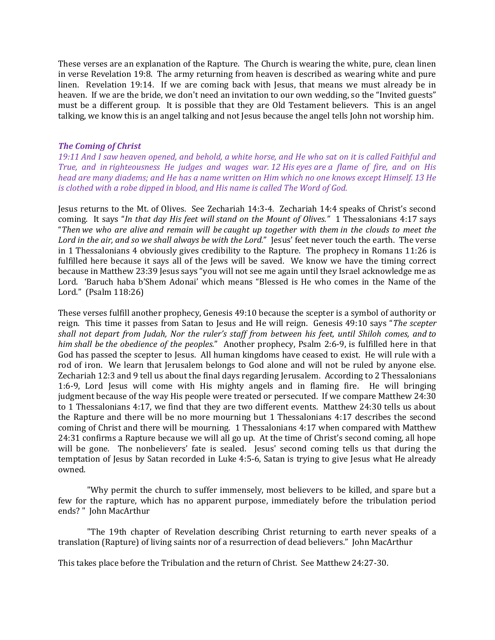These verses are an explanation of the Rapture. The Church is wearing the white, pure, clean linen in verse Revelation 19:8. The army returning from heaven is described as wearing white and pure linen. Revelation 19:14. If we are coming back with Jesus, that means we must already be in heaven. If we are the bride, we don't need an invitation to our own wedding, so the "Invited guests" must be a different group. It is possible that they are Old Testament believers. This is an angel talking, we know this is an angel talking and not Jesus because the angel tells John not worship him.

#### The Coming of Christ

19:11 And I saw heaven opened, and behold, a white horse, and He who sat on it is called Faithful and True, and in righteousness He judges and wages war. 12 His eyes are a flame of fire, and on His head are many diadems; and He has a name written on Him which no one knows except Himself. 13 He is clothed with a robe dipped in blood, and His name is called The Word of God.

Jesus returns to the Mt. of Olives. See Zechariah 14:3-4. Zechariah 14:4 speaks of Christ's second coming. It says "In that day His feet will stand on the Mount of Olives." 1 Thessalonians 4:17 says "Then we who are alive and remain will be caught up together with them in the clouds to meet the Lord in the air, and so we shall always be with the Lord." Jesus' feet never touch the earth. The verse in 1 Thessalonians 4 obviously gives credibility to the Rapture. The prophecy in Romans 11:26 is fulfilled here because it says all of the Jews will be saved. We know we have the timing correct because in Matthew 23:39 Jesus says "you will not see me again until they Israel acknowledge me as Lord. 'Baruch haba b'Shem Adonai' which means "Blessed is He who comes in the Name of the Lord." (Psalm 118:26)

These verses fulfill another prophecy, Genesis 49:10 because the scepter is a symbol of authority or reign. This time it passes from Satan to Jesus and He will reign. Genesis 49:10 says "The scepter shall not depart from Judah, Nor the ruler's staff from between his feet, until Shiloh comes, and to him shall be the obedience of the peoples." Another prophecy, Psalm 2:6-9, is fulfilled here in that God has passed the scepter to Jesus. All human kingdoms have ceased to exist. He will rule with a rod of iron. We learn that Jerusalem belongs to God alone and will not be ruled by anyone else. Zechariah 12:3 and 9 tell us about the final days regarding Jerusalem. According to 2 Thessalonians 1:6-9, Lord Jesus will come with His mighty angels and in flaming fire. He will bringing judgment because of the way His people were treated or persecuted. If we compare Matthew 24:30 to 1 Thessalonians 4:17, we find that they are two different events. Matthew 24:30 tells us about the Rapture and there will be no more mourning but 1 Thessalonians 4:17 describes the second coming of Christ and there will be mourning. 1 Thessalonians 4:17 when compared with Matthew 24:31 confirms a Rapture because we will all go up. At the time of Christ's second coming, all hope will be gone. The nonbelievers' fate is sealed. Jesus' second coming tells us that during the temptation of Jesus by Satan recorded in Luke 4:5-6, Satan is trying to give Jesus what He already owned.

"Why permit the church to suffer immensely, most believers to be killed, and spare but a few for the rapture, which has no apparent purpose, immediately before the tribulation period ends? " John MacArthur

"The 19th chapter of Revelation describing Christ returning to earth never speaks of a translation (Rapture) of living saints nor of a resurrection of dead believers." John MacArthur

This takes place before the Tribulation and the return of Christ. See Matthew 24:27-30.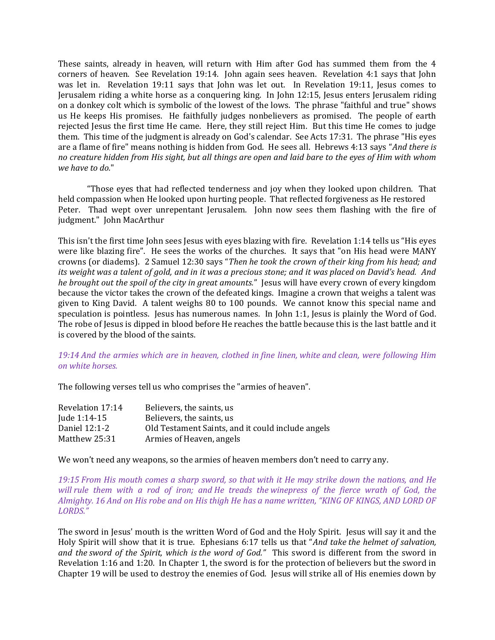These saints, already in heaven, will return with Him after God has summed them from the 4 corners of heaven. See Revelation 19:14. John again sees heaven. Revelation 4:1 says that John was let in. Revelation 19:11 says that John was let out. In Revelation 19:11, Jesus comes to Jerusalem riding a white horse as a conquering king. In John 12:15, Jesus enters Jerusalem riding on a donkey colt which is symbolic of the lowest of the lows. The phrase "faithful and true" shows us He keeps His promises. He faithfully judges nonbelievers as promised. The people of earth rejected Jesus the first time He came. Here, they still reject Him. But this time He comes to judge them. This time of the judgment is already on God's calendar. See Acts 17:31. The phrase "His eyes are a flame of fire" means nothing is hidden from God. He sees all. Hebrews 4:13 says "And there is no creature hidden from His sight, but all things are open and laid bare to the eyes of Him with whom we have to do."

"Those eyes that had reflected tenderness and joy when they looked upon children. That held compassion when He looked upon hurting people. That reflected forgiveness as He restored Peter. Thad wept over unrepentant Jerusalem. John now sees them flashing with the fire of judgment." John MacArthur

This isn't the first time John sees Jesus with eyes blazing with fire. Revelation 1:14 tells us "His eyes were like blazing fire". He sees the works of the churches. It says that "on His head were MANY crowns (or diadems). 2 Samuel 12:30 says "Then he took the crown of their king from his head; and its weight was a talent of gold, and in it was a precious stone; and it was placed on David's head. And he brought out the spoil of the city in great amounts." Jesus will have every crown of every kingdom because the victor takes the crown of the defeated kings. Imagine a crown that weighs a talent was given to King David. A talent weighs 80 to 100 pounds. We cannot know this special name and speculation is pointless. Jesus has numerous names. In John 1:1, Jesus is plainly the Word of God. The robe of Jesus is dipped in blood before He reaches the battle because this is the last battle and it is covered by the blood of the saints.

19:14 And the armies which are in heaven, clothed in fine linen, white and clean, were following Him on white horses.

The following verses tell us who comprises the "armies of heaven".

| Revelation 17:14 | Believers, the saints, us                         |
|------------------|---------------------------------------------------|
| Jude 1:14-15     | Believers, the saints, us                         |
| Daniel 12:1-2    | Old Testament Saints, and it could include angels |
| Matthew 25:31    | Armies of Heaven, angels                          |

We won't need any weapons, so the armies of heaven members don't need to carry any.

19:15 From His mouth comes a sharp sword, so that with it He may strike down the nations, and He will rule them with a rod of iron; and He treads the winepress of the fierce wrath of God, the Almighty. 16 And on His robe and on His thigh He has a name written, "KING OF KINGS, AND LORD OF LORDS."

The sword in Jesus' mouth is the written Word of God and the Holy Spirit. Jesus will say it and the Holy Spirit will show that it is true. Ephesians 6:17 tells us that "And take the helmet of salvation, and the sword of the Spirit, which is the word of God." This sword is different from the sword in Revelation 1:16 and 1:20. In Chapter 1, the sword is for the protection of believers but the sword in Chapter 19 will be used to destroy the enemies of God. Jesus will strike all of His enemies down by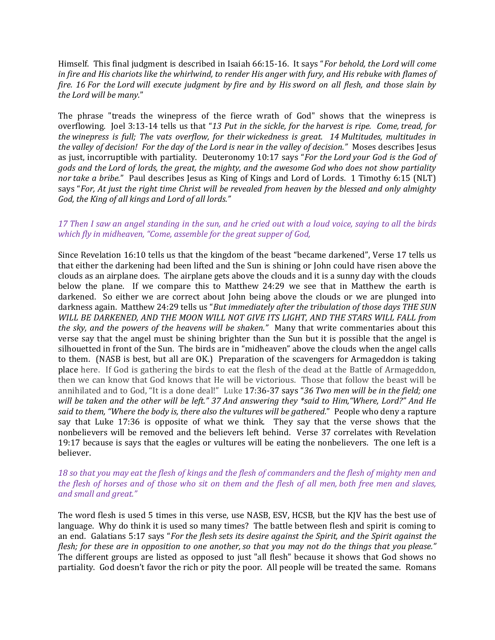Himself. This final judgment is described in Isaiah 66:15-16. It says "For behold, the Lord will come in fire and His chariots like the whirlwind, to render His anger with fury, and His rebuke with flames of fire. 16 For the Lord will execute judgment by fire and by His sword on all flesh, and those slain by the Lord will be many."

The phrase "treads the winepress of the fierce wrath of God" shows that the winepress is overflowing. Joel 3:13-14 tells us that "13 Put in the sickle, for the harvest is ripe. Come, tread, for the winepress is full; The vats overflow, for their wickedness is great. 14 Multitudes, multitudes in the valley of decision! For the day of the Lord is near in the valley of decision." Moses describes Jesus as just, incorruptible with partiality. Deuteronomy 10:17 says "For the Lord your God is the God of gods and the Lord of lords, the great, the mighty, and the awesome God who does not show partiality nor take a bribe." Paul describes Jesus as King of Kings and Lord of Lords. 1 Timothy 6:15 (NLT) says "For, At just the right time Christ will be revealed from heaven by the blessed and only almighty God, the King of all kings and Lord of all lords."

## 17 Then I saw an angel standing in the sun, and he cried out with a loud voice, saying to all the birds which fly in midheaven, "Come, assemble for the great supper of God,

Since Revelation 16:10 tells us that the kingdom of the beast "became darkened", Verse 17 tells us that either the darkening had been lifted and the Sun is shining or John could have risen above the clouds as an airplane does. The airplane gets above the clouds and it is a sunny day with the clouds below the plane. If we compare this to Matthew 24:29 we see that in Matthew the earth is darkened. So either we are correct about John being above the clouds or we are plunged into darkness again. Matthew 24:29 tells us "But immediately after the tribulation of those days THE SUN WILL BE DARKENED, AND THE MOON WILL NOT GIVE ITS LIGHT, AND THE STARS WILL FALL from the sky, and the powers of the heavens will be shaken." Many that write commentaries about this verse say that the angel must be shining brighter than the Sun but it is possible that the angel is silhouetted in front of the Sun. The birds are in "midheaven" above the clouds when the angel calls to them. (NASB is best, but all are OK.) Preparation of the scavengers for Armageddon is taking place here. If God is gathering the birds to eat the flesh of the dead at the Battle of Armageddon, then we can know that God knows that He will be victorious. Those that follow the beast will be annihilated and to God, "It is a done deal!" Luke 17:36-37 says "36 Two men will be in the field; one will be taken and the other will be left." 37 And answering they \*said to Him, "Where, Lord?" And He said to them, "Where the body is, there also the vultures will be gathered." People who deny a rapture say that Luke 17:36 is opposite of what we think. They say that the verse shows that the nonbelievers will be removed and the believers left behind. Verse 37 correlates with Revelation 19:17 because is says that the eagles or vultures will be eating the nonbelievers. The one left is a believer.

## 18 so that you may eat the flesh of kings and the flesh of commanders and the flesh of mighty men and the flesh of horses and of those who sit on them and the flesh of all men, both free men and slaves, and small and great."

The word flesh is used 5 times in this verse, use NASB, ESV, HCSB, but the KJV has the best use of language. Why do think it is used so many times? The battle between flesh and spirit is coming to an end. Galatians 5:17 says "For the flesh sets its desire against the Spirit, and the Spirit against the flesh; for these are in opposition to one another, so that you may not do the things that you please." The different groups are listed as opposed to just "all flesh" because it shows that God shows no partiality. God doesn't favor the rich or pity the poor. All people will be treated the same. Romans